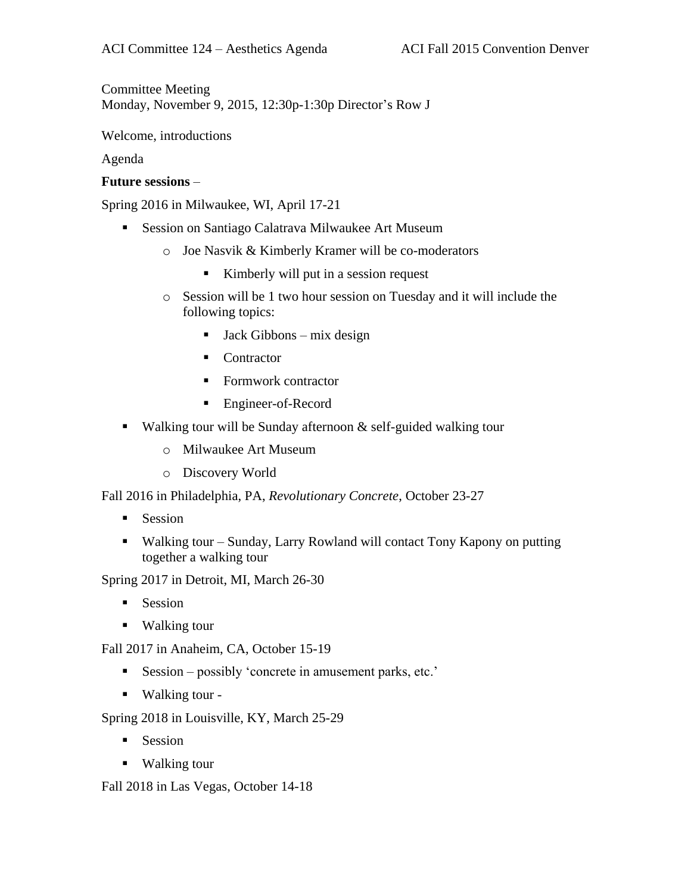Committee Meeting Monday, November 9, 2015, 12:30p-1:30p Director's Row J

Welcome, introductions

Agenda

## **Future sessions** –

Spring 2016 in Milwaukee, WI, April 17-21

- **Session on Santiago Calatrava Milwaukee Art Museum** 
	- o Joe Nasvik & Kimberly Kramer will be co-moderators
		- Kimberly will put in a session request
	- o Session will be 1 two hour session on Tuesday and it will include the following topics:
		- $\blacksquare$  Jack Gibbons mix design
		- Contractor
		- Formwork contractor
		- Engineer-of-Record
- Walking tour will be Sunday afternoon  $\&$  self-guided walking tour
	- o Milwaukee Art Museum
	- o Discovery World

Fall 2016 in Philadelphia, PA, *Revolutionary Concrete*, October 23-27

- **Session**
- Walking tour Sunday, Larry Rowland will contact Tony Kapony on putting together a walking tour

Spring 2017 in Detroit, MI, March 26-30

- $\blacksquare$  Session
- Walking tour

Fall 2017 in Anaheim, CA, October 15-19

- Session possibly 'concrete in amusement parks, etc.'
- Walking tour -

Spring 2018 in Louisville, KY, March 25-29

- Session
- Walking tour

Fall 2018 in Las Vegas, October 14-18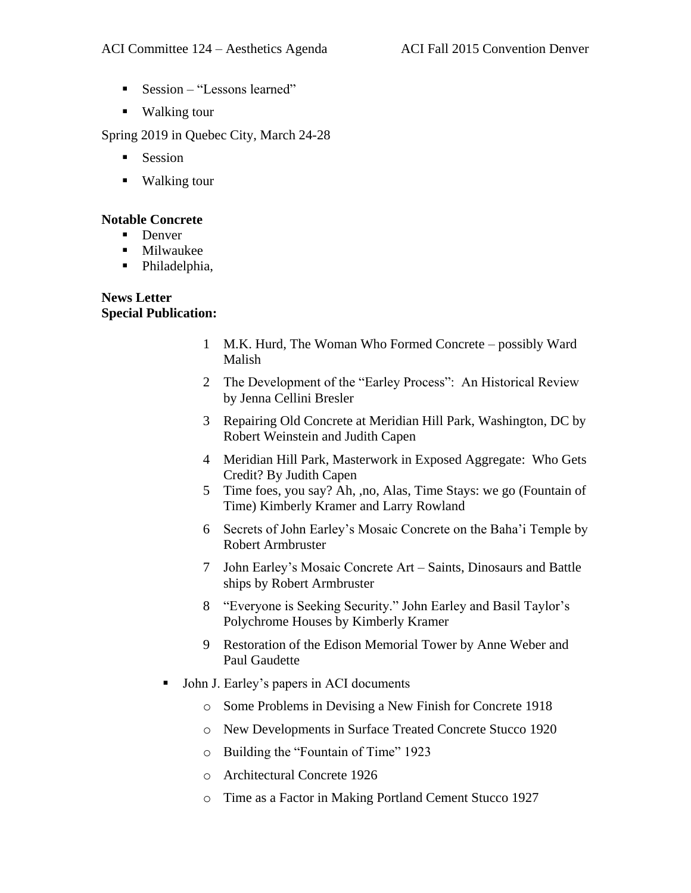- Session "Lessons learned"
- Walking tour

Spring 2019 in Quebec City, March 24-28

- **Session**
- Walking tour

### **Notable Concrete**

- Denver
- **Milwaukee**
- Philadelphia,

# **News Letter Special Publication:**

- 1 M.K. Hurd, The Woman Who Formed Concrete possibly Ward Malish
- 2 The Development of the "Earley Process": An Historical Review by Jenna Cellini Bresler
- 3 Repairing Old Concrete at Meridian Hill Park, Washington, DC by Robert Weinstein and Judith Capen
- 4 Meridian Hill Park, Masterwork in Exposed Aggregate: Who Gets Credit? By Judith Capen
- 5 Time foes, you say? Ah, ,no, Alas, Time Stays: we go (Fountain of Time) Kimberly Kramer and Larry Rowland
- 6 Secrets of John Earley's Mosaic Concrete on the Baha'i Temple by Robert Armbruster
- 7 John Earley's Mosaic Concrete Art Saints, Dinosaurs and Battle ships by Robert Armbruster
- 8 "Everyone is Seeking Security." John Earley and Basil Taylor's Polychrome Houses by Kimberly Kramer
- 9 Restoration of the Edison Memorial Tower by Anne Weber and Paul Gaudette
- John J. Earley's papers in ACI documents
	- o Some Problems in Devising a New Finish for Concrete 1918
	- o New Developments in Surface Treated Concrete Stucco 1920
	- o Building the "Fountain of Time" 1923
	- o Architectural Concrete 1926
	- o Time as a Factor in Making Portland Cement Stucco 1927